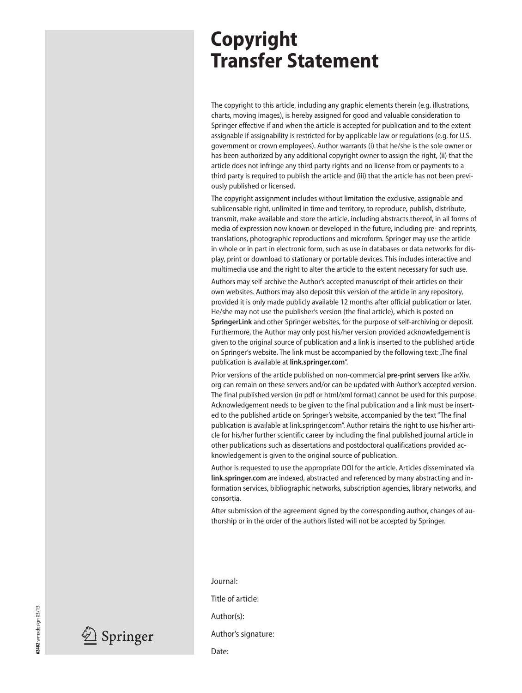## **Copyright Transfer Statement**

The copyright to this article, including any graphic elements therein (e.g. illustrations, charts, moving images), is hereby assigned for good and valuable consideration to Springer effective if and when the article is accepted for publication and to the extent assignable if assignability is restricted for by applicable law or regulations (e.g. for U.S. government or crown employees). Author warrants (i) that he/she is the sole owner or has been authorized by any additional copyright owner to assign the right, (ii) that the article does not infringe any third party rights and no license from or payments to a third party is required to publish the article and (iii) that the article has not been previously published or licensed.

The copyright assignment includes without limitation the exclusive, assignable and sublicensable right, unlimited in time and territory, to reproduce, publish, distribute, transmit, make available and store the article, including abstracts thereof, in all forms of media of expression now known or developed in the future, including pre- and reprints, translations, photographic reproductions and microform. Springer may use the article in whole or in part in electronic form, such as use in databases or data networks for display, print or download to stationary or portable devices. This includes interactive and multimedia use and the right to alter the article to the extent necessary for such use.

Authors may self-archive the Author's accepted manuscript of their articles on their own websites. Authors may also deposit this version of the article in any repository, provided it is only made publicly available 12 months after official publication or later. He/she may not use the publisher's version (the final article), which is posted on **SpringerLink** and other Springer websites, for the purpose of self-archiving or deposit. Furthermore, the Author may only post his/her version provided acknowledgement is given to the original source of publication and a link is inserted to the published article on Springer's website. The link must be accompanied by the following text: "The final publication is available at **link.springer.com**".

Prior versions of the article published on non-commercial **pre-print servers** like arXiv. org can remain on these servers and/or can be updated with Author's accepted version. The final published version (in pdf or html/xml format) cannot be used for this purpose. Acknowledgement needs to be given to the final publication and a link must be inserted to the published article on Springer's website, accompanied by the text "The final publication is available at link.springer.com". Author retains the right to use his/her article for his/her further scientific career by including the final published journal article in other publications such as dissertations and postdoctoral qualifications provided acknowledgement is given to the original source of publication.

Author is requested to use the appropriate DOI for the article. Articles disseminated via **link.springer.com** are indexed, abstracted and referenced by many abstracting and information services, bibliographic networks, subscription agencies, library networks, and consortia.

After submission of the agreement signed by the corresponding author, changes of authorship or in the order of the authors listed will not be accepted by Springer.

Journal:

Title of article:

Author(s):

Author's signature:

Date:



 $\mathscr{L}$  Springer